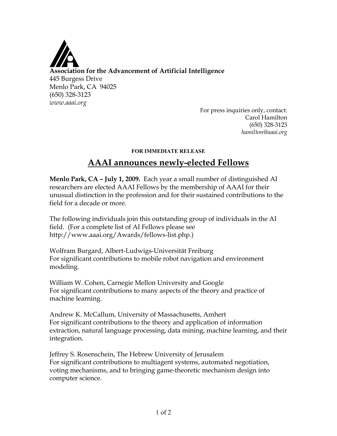

For press inquiries only, contact: Carol Hamilton (650) 328-3123 *hamilton@aaai.org*

## **FOR IMMEDIATE RELEASE**

## **AAAI announces newly-elected Fellows**

**Menlo Park, CA – July 1, 2009.** Each year a small number of distinguished AI researchers are elected AAAI Fellows by the membership of AAAI for their unusual distinction in the profession and for their sustained contributions to the field for a decade or more.

The following individuals join this outstanding group of individuals in the AI field. (For a complete list of AI Fellows please see http://www.aaai.org/Awards/fellows-list.php.)

Wolfram Burgard, Albert-Ludwigs-Universität Freiburg For significant contributions to mobile robot navigation and environment modeling.

William W. Cohen, Carnegie Mellon University and Google For significant contributions to many aspects of the theory and practice of machine learning.

Andrew K. McCallum, University of Massachusetts, Amhert For significant contributions to the theory and application of information extraction, natural language processing, data mining, machine learning, and their integration.

Jeffrey S. Rosenschein, The Hebrew University of Jerusalem For significant contributions to multiagent systems, automated negotiation, voting mechanisms, and to bringing game-theoretic mechanism design into computer science.